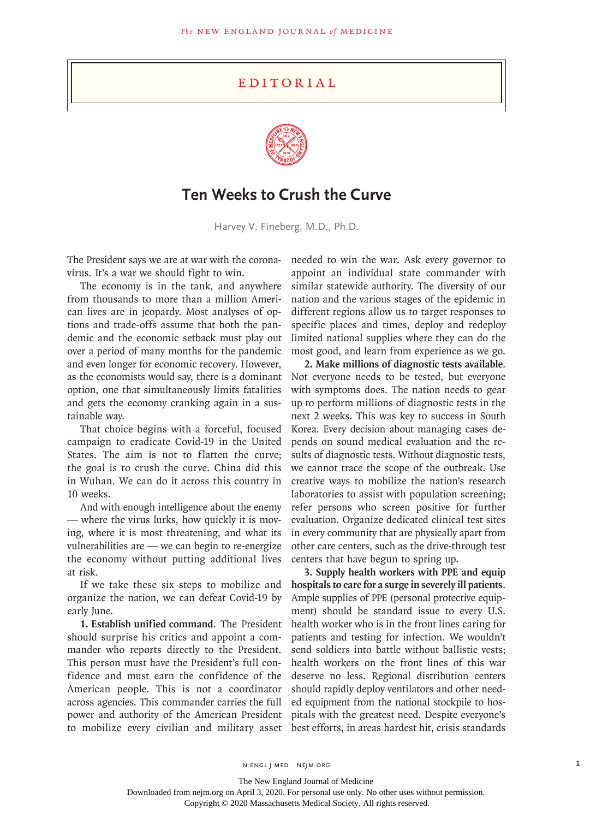## **EDITORIAL**



## **Ten Weeks to Crush the Curve**

Harvey V. Fineberg, M.D., Ph.D.

The President says we are at war with the coronavirus. It's a war we should fight to win.

The economy is in the tank, and anywhere from thousands to more than a million American lives are in jeopardy. Most analyses of options and trade-offs assume that both the pandemic and the economic setback must play out over a period of many months for the pandemic and even longer for economic recovery. However, as the economists would say, there is a dominant option, one that simultaneously limits fatalities and gets the economy cranking again in a sustainable way.

That choice begins with a forceful, focused campaign to eradicate Covid-19 in the United States. The aim is not to flatten the curve; the goal is to crush the curve. China did this in Wuhan. We can do it across this country in 10 weeks.

And with enough intelligence about the enemy — where the virus lurks, how quickly it is moving, where it is most threatening, and what its vulnerabilities are — we can begin to re-energize the economy without putting additional lives at risk.

If we take these six steps to mobilize and organize the nation, we can defeat Covid-19 by early June.

**1. Establish unified command**. The President should surprise his critics and appoint a commander who reports directly to the President. This person must have the President's full confidence and must earn the confidence of the American people. This is not a coordinator across agencies. This commander carries the full power and authority of the American President to mobilize every civilian and military asset needed to win the war. Ask every governor to appoint an individual state commander with similar statewide authority. The diversity of our nation and the various stages of the epidemic in different regions allow us to target responses to specific places and times, deploy and redeploy limited national supplies where they can do the most good, and learn from experience as we go.

**2. Make millions of diagnostic tests available**. Not everyone needs to be tested, but everyone with symptoms does. The nation needs to gear up to perform millions of diagnostic tests in the next 2 weeks. This was key to success in South Korea. Every decision about managing cases depends on sound medical evaluation and the results of diagnostic tests. Without diagnostic tests, we cannot trace the scope of the outbreak. Use creative ways to mobilize the nation's research laboratories to assist with population screening; refer persons who screen positive for further evaluation. Organize dedicated clinical test sites in every community that are physically apart from other care centers, such as the drive-through test centers that have begun to spring up.

**3. Supply health workers with PPE and equip hospitals to care for a surge in severely ill patients**. Ample supplies of PPE (personal protective equipment) should be standard issue to every U.S. health worker who is in the front lines caring for patients and testing for infection. We wouldn't send soldiers into battle without ballistic vests; health workers on the front lines of this war deserve no less. Regional distribution centers should rapidly deploy ventilators and other needed equipment from the national stockpile to hospitals with the greatest need. Despite everyone's best efforts, in areas hardest hit, crisis standards

N ENGL J MED NEJM.ORG 1

Copyright © 2020 Massachusetts Medical Society. All rights reserved.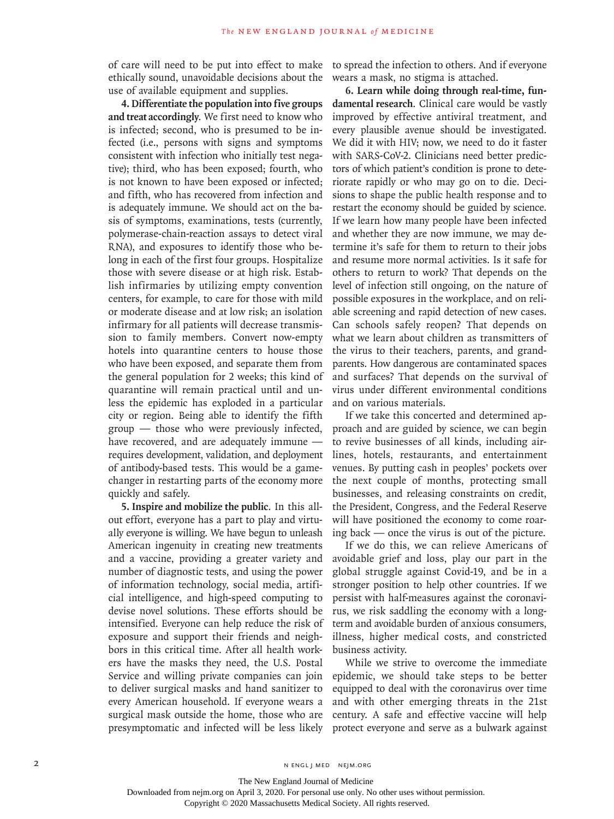of care will need to be put into effect to make ethically sound, unavoidable decisions about the use of available equipment and supplies.

**4. Differentiate the population into five groups and treat accordingly**. We first need to know who is infected; second, who is presumed to be infected (i.e., persons with signs and symptoms consistent with infection who initially test negative); third, who has been exposed; fourth, who is not known to have been exposed or infected; and fifth, who has recovered from infection and is adequately immune. We should act on the basis of symptoms, examinations, tests (currently, polymerase-chain-reaction assays to detect viral RNA), and exposures to identify those who belong in each of the first four groups. Hospitalize those with severe disease or at high risk. Establish infirmaries by utilizing empty convention centers, for example, to care for those with mild or moderate disease and at low risk; an isolation infirmary for all patients will decrease transmission to family members. Convert now-empty hotels into quarantine centers to house those who have been exposed, and separate them from the general population for 2 weeks; this kind of quarantine will remain practical until and unless the epidemic has exploded in a particular city or region. Being able to identify the fifth group — those who were previously infected, have recovered, and are adequately immune requires development, validation, and deployment of antibody-based tests. This would be a gamechanger in restarting parts of the economy more quickly and safely.

**5. Inspire and mobilize the public**. In this allout effort, everyone has a part to play and virtually everyone is willing. We have begun to unleash American ingenuity in creating new treatments and a vaccine, providing a greater variety and number of diagnostic tests, and using the power of information technology, social media, artificial intelligence, and high-speed computing to devise novel solutions. These efforts should be intensified. Everyone can help reduce the risk of exposure and support their friends and neighbors in this critical time. After all health workers have the masks they need, the U.S. Postal Service and willing private companies can join to deliver surgical masks and hand sanitizer to every American household. If everyone wears a surgical mask outside the home, those who are presymptomatic and infected will be less likely

to spread the infection to others. And if everyone wears a mask, no stigma is attached.

**6. Learn while doing through real-time, fundamental research**. Clinical care would be vastly improved by effective antiviral treatment, and every plausible avenue should be investigated. We did it with HIV; now, we need to do it faster with SARS-CoV-2. Clinicians need better predictors of which patient's condition is prone to deteriorate rapidly or who may go on to die. Decisions to shape the public health response and to restart the economy should be guided by science. If we learn how many people have been infected and whether they are now immune, we may determine it's safe for them to return to their jobs and resume more normal activities. Is it safe for others to return to work? That depends on the level of infection still ongoing, on the nature of possible exposures in the workplace, and on reliable screening and rapid detection of new cases. Can schools safely reopen? That depends on what we learn about children as transmitters of the virus to their teachers, parents, and grandparents. How dangerous are contaminated spaces and surfaces? That depends on the survival of virus under different environmental conditions and on various materials.

If we take this concerted and determined approach and are guided by science, we can begin to revive businesses of all kinds, including airlines, hotels, restaurants, and entertainment venues. By putting cash in peoples' pockets over the next couple of months, protecting small businesses, and releasing constraints on credit, the President, Congress, and the Federal Reserve will have positioned the economy to come roaring back — once the virus is out of the picture.

If we do this, we can relieve Americans of avoidable grief and loss, play our part in the global struggle against Covid-19, and be in a stronger position to help other countries. If we persist with half-measures against the coronavirus, we risk saddling the economy with a longterm and avoidable burden of anxious consumers, illness, higher medical costs, and constricted business activity.

While we strive to overcome the immediate epidemic, we should take steps to be better equipped to deal with the coronavirus over time and with other emerging threats in the 21st century. A safe and effective vaccine will help protect everyone and serve as a bulwark against

Copyright © 2020 Massachusetts Medical Society. All rights reserved.